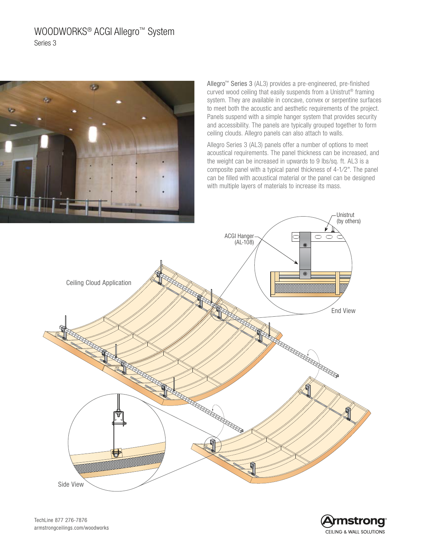# WOODWORKS<sup>®</sup> ACGI Allegro<sup>™</sup> System Series 3



Allegro™ Series 3 (AL3) provides a pre-engineered, pre-finished curved wood ceiling that easily suspends from a Unistrut® framing system. They are available in concave, convex or serpentine surfaces to meet both the acoustic and aesthetic requirements of the project. Panels suspend with a simple hanger system that provides security and accessibility. The panels are typically grouped together to form ceiling clouds. Allegro panels can also attach to walls.

Allegro Series 3 (AL3) panels offer a number of options to meet acoustical requirements. The panel thickness can be increased, and the weight can be increased in upwards to 9 lbs/sq. ft. AL3 is a composite panel with a typical panel thickness of 4-1⁄2". The panel can be filled with acoustical material or the panel can be designed with multiple layers of materials to increase its mass.